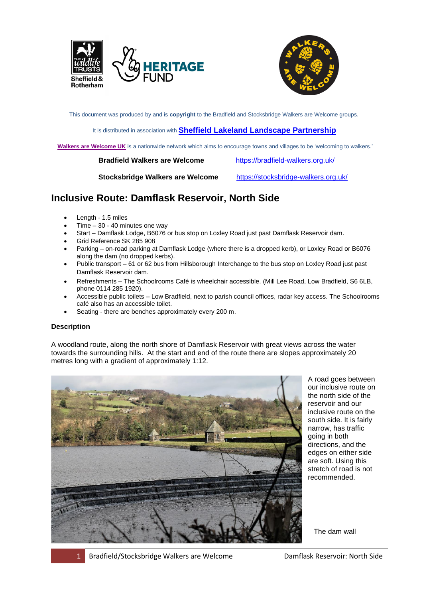



This document was produced by and is **copyright** to the Bradfield and Stocksbridge Walkers are Welcome groups.

#### It is distributed in association with **[Sheffield Lakeland Landscape Partnership](https://www.wildsheffield.com/discover/your-community/sheffield-lakeland-landscape-partnership/)**

**[Walkers are Welcome UK](http://www.walkersarewelcome.org.uk/)** is a nationwide network which aims to encourage towns and villages to be 'welcoming to walkers.'

 **Bradfield Walkers are Welcome** <https://bradfield-walkers.org.uk/>

 **Stocksbridge Walkers are Welcome** <https://stocksbridge-walkers.org.uk/>

# **Inclusive Route: Damflask Reservoir, North Side**

- Length 1.5 miles
- Time  $-30 40$  minutes one way
- Start Damflask Lodge, B6076 or bus stop on Loxley Road just past Damflask Reservoir dam.
- Grid Reference SK 285 908
- Parking on-road parking at Damflask Lodge (where there is a dropped kerb), or Loxley Road or B6076 along the dam (no dropped kerbs).
- Public transport 61 or 62 bus from Hillsborough Interchange to the bus stop on Loxley Road just past Damflask Reservoir dam.
- Refreshments The Schoolrooms Café is wheelchair accessible. (Mill Lee Road, Low Bradfield, S6 6LB, phone 0114 285 1920).
- Accessible public toilets Low Bradfield, next to parish council offices, radar key access. The Schoolrooms café also has an accessible toilet.
- Seating there are benches approximately every 200 m.

## **Description**

A woodland route, along the north shore of Damflask Reservoir with great views across the water towards the surrounding hills. At the start and end of the route there are slopes approximately 20 metres long with a gradient of approximately 1:12.



A road goes between our inclusive route on the north side of the reservoir and our inclusive route on the south side. It is fairly narrow, has traffic going in both directions, and the edges on either side are soft. Using this stretch of road is not recommended.

The dam wall

1 Bradfield/Stocksbridge Walkers are Welcome Damflask Reservoir: North Side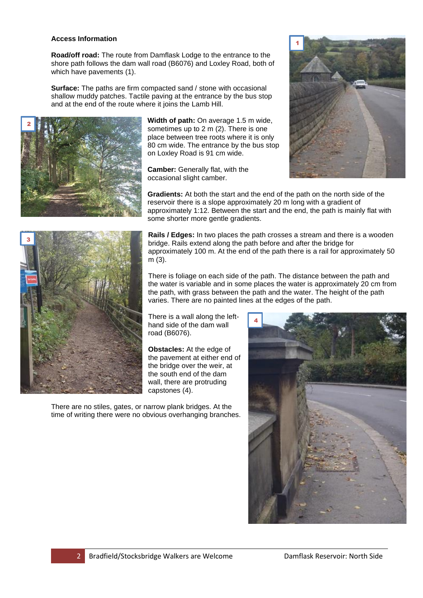#### **Access Information**

**Road/off road:** The route from Damflask Lodge to the entrance to the shore path follows the dam wall road (B6076) and Loxley Road, both of which have pavements (1).

**Surface:** The paths are firm compacted sand / stone with occasional shallow muddy patches. Tactile paving at the entrance by the bus stop and at the end of the route where it joins the Lamb Hill.



**Width of path:** On average 1.5 m wide, sometimes up to 2 m (2). There is one place between tree roots where it is only 80 cm wide. The entrance by the bus stop on Loxley Road is 91 cm wide.

**Camber:** Generally flat, with the occasional slight camber.



**Gradients:** At both the start and the end of the path on the north side of the reservoir there is a slope approximately 20 m long with a gradient of approximately 1:12. Between the start and the end, the path is mainly flat with some shorter more gentle gradients.



**Rails / Edges:** In two places the path crosses a stream and there is a wooden bridge. Rails extend along the path before and after the bridge for approximately 100 m. At the end of the path there is a rail for approximately 50 m (3).

There is foliage on each side of the path. The distance between the path and the water is variable and in some places the water is approximately 20 cm from the path, with grass between the path and the water. The height of the path varies. There are no painted lines at the edges of the path.

There is a wall along the lefthand side of the dam wall road (B6076).

**Obstacles:** At the edge of the pavement at either end of the bridge over the weir, at the south end of the dam wall, there are protruding capstones (4).

There are no stiles, gates, or narrow plank bridges. At the time of writing there were no obvious overhanging branches.

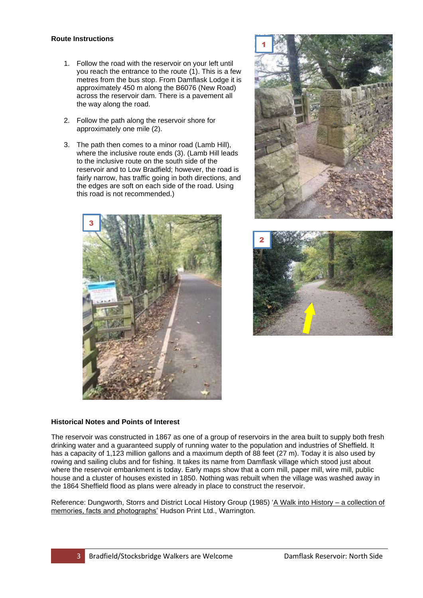### **Route Instructions**

- 1. Follow the road with the reservoir on your left until you reach the entrance to the route  $(1)$ . This is a few metres from the bus stop. From Damflask Lodge it is approximately 450 m along the B6076 (New Road) across the reservoir dam. There is a pavement all the way along the road.
- 2. Follow the path along the reservoir shore for approximately one mile (2).
- 3. The path then comes to a minor road (Lamb Hill), where the inclusive route ends (3). (Lamb Hill leads to the inclusive route on the south side of the reservoir and to Low Bradfield; however, the road is fairly narrow, has traffic going in both directions, and the edges are soft on each side of the road. Using this road is not recommended.)







## **Historical Notes and Points of Interest**

The reservoir was constructed in 1867 as one of a group of reservoirs in the area built to supply both fresh drinking water and a guaranteed supply of running water to the population and industries of Sheffield. It has a capacity of 1,123 million gallons and a maximum depth of 88 feet (27 m). Today it is also used by rowing and sailing clubs and for fishing. It takes its name from Damflask village which stood just about where the reservoir embankment is today. Early maps show that a corn mill, paper mill, wire mill, public house and a cluster of houses existed in 1850. Nothing was rebuilt when the village was washed away in the 1864 Sheffield flood as plans were already in place to construct the reservoir.

Reference: Dungworth, Storrs and District Local History Group (1985) 'A Walk into History – a collection of memories, facts and photographs' Hudson Print Ltd., Warrington.